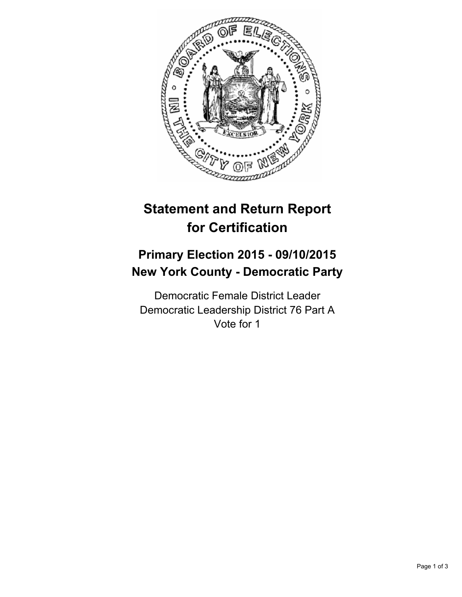

# **Statement and Return Report for Certification**

## **Primary Election 2015 - 09/10/2015 New York County - Democratic Party**

Democratic Female District Leader Democratic Leadership District 76 Part A Vote for 1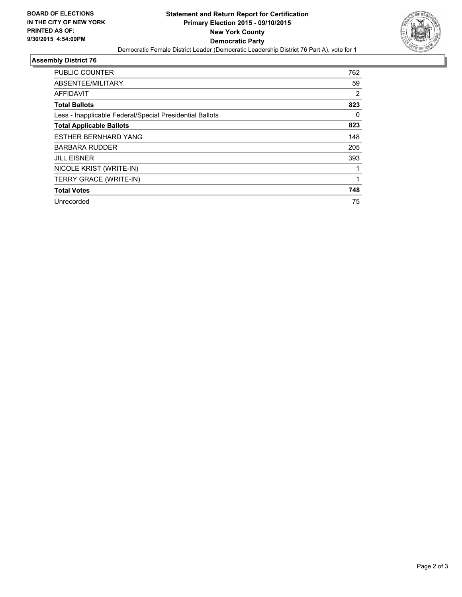

#### **Assembly District 76**

| <b>PUBLIC COUNTER</b>                                    | 762 |
|----------------------------------------------------------|-----|
| ABSENTEE/MILITARY                                        | 59  |
| <b>AFFIDAVIT</b>                                         | 2   |
| <b>Total Ballots</b>                                     | 823 |
| Less - Inapplicable Federal/Special Presidential Ballots | 0   |
| <b>Total Applicable Ballots</b>                          | 823 |
| <b>ESTHER BERNHARD YANG</b>                              | 148 |
| <b>BARBARA RUDDER</b>                                    | 205 |
| <b>JILL EISNER</b>                                       | 393 |
| NICOLE KRIST (WRITE-IN)                                  |     |
| TERRY GRACE (WRITE-IN)                                   |     |
| <b>Total Votes</b>                                       | 748 |
| Unrecorded                                               | 75  |